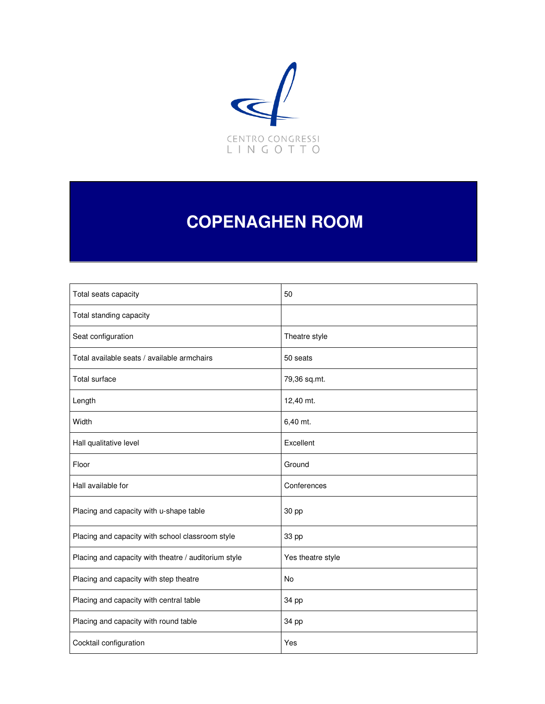

# **COPENAGHEN ROOM**

| Total seats capacity                                 | 50                |
|------------------------------------------------------|-------------------|
| Total standing capacity                              |                   |
| Seat configuration                                   | Theatre style     |
| Total available seats / available armchairs          | 50 seats          |
| <b>Total surface</b>                                 | 79,36 sq.mt.      |
| Length                                               | 12,40 mt.         |
| Width                                                | 6,40 mt.          |
| Hall qualitative level                               | Excellent         |
| Floor                                                | Ground            |
| Hall available for                                   | Conferences       |
| Placing and capacity with u-shape table              | 30 pp             |
| Placing and capacity with school classroom style     | 33 pp             |
| Placing and capacity with theatre / auditorium style | Yes theatre style |
| Placing and capacity with step theatre               | No                |
| Placing and capacity with central table              | 34 pp             |
| Placing and capacity with round table                | 34 pp             |
| Cocktail configuration                               | Yes               |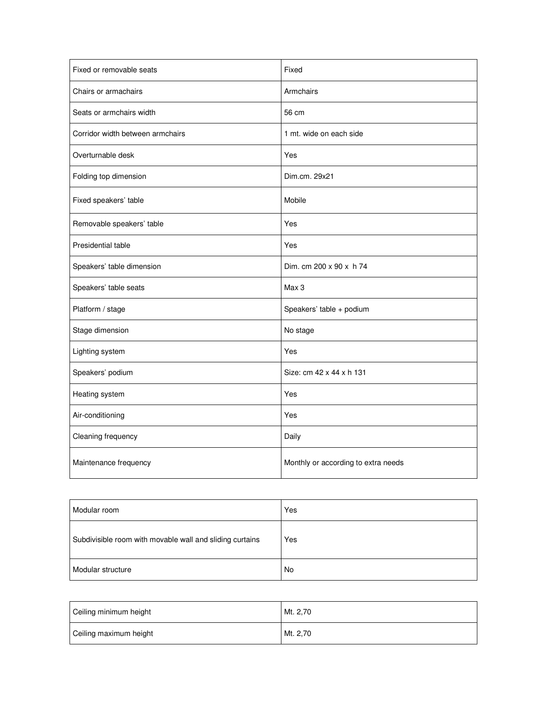| Fixed or removable seats         | Fixed                               |
|----------------------------------|-------------------------------------|
| Chairs or armachairs             | Armchairs                           |
| Seats or armchairs width         | 56 cm                               |
| Corridor width between armchairs | 1 mt. wide on each side             |
| Overturnable desk                | Yes                                 |
| Folding top dimension            | Dim.cm. 29x21                       |
| Fixed speakers' table            | Mobile                              |
| Removable speakers' table        | Yes                                 |
| Presidential table               | Yes                                 |
| Speakers' table dimension        | Dim. cm 200 x 90 x h 74             |
| Speakers' table seats            | Max 3                               |
| Platform / stage                 | Speakers' table + podium            |
| Stage dimension                  | No stage                            |
| Lighting system                  | Yes                                 |
| Speakers' podium                 | Size: cm 42 x 44 x h 131            |
| Heating system                   | Yes                                 |
| Air-conditioning                 | Yes                                 |
| Cleaning frequency               | Daily                               |
| Maintenance frequency            | Monthly or according to extra needs |

| Modular room                                             | Yes |
|----------------------------------------------------------|-----|
| Subdivisible room with movable wall and sliding curtains | Yes |
| Modular structure                                        | No  |

| Ceiling minimum height | Mt. 2,70 |
|------------------------|----------|
| Ceiling maximum height | Mt. 2,70 |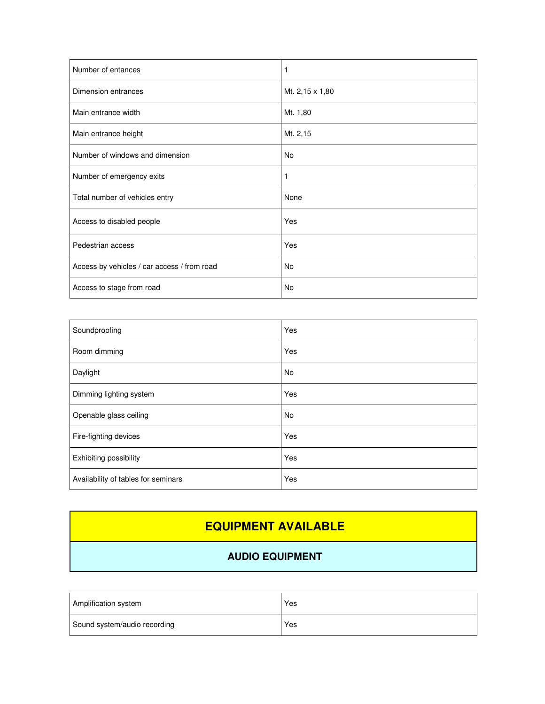| Number of entances                          |                 |
|---------------------------------------------|-----------------|
| Dimension entrances                         | Mt. 2,15 x 1,80 |
| Main entrance width                         | Mt. 1,80        |
| Main entrance height                        | Mt. 2,15        |
| Number of windows and dimension             | No              |
| Number of emergency exits                   |                 |
| Total number of vehicles entry              | None            |
| Access to disabled people                   | Yes             |
| Pedestrian access                           | Yes             |
| Access by vehicles / car access / from road | No              |
| Access to stage from road                   | No              |

| Soundproofing                       | Yes       |
|-------------------------------------|-----------|
| Room dimming                        | Yes       |
| Daylight                            | <b>No</b> |
| Dimming lighting system             | Yes       |
| Openable glass ceiling              | <b>No</b> |
| Fire-fighting devices               | Yes       |
| Exhibiting possibility              | Yes       |
| Availability of tables for seminars | Yes       |

## **EQUIPMENT AVAILABLE**

#### **AUDIO EQUIPMENT**

| Amplification system         | Yes |
|------------------------------|-----|
| Sound system/audio recording | Yes |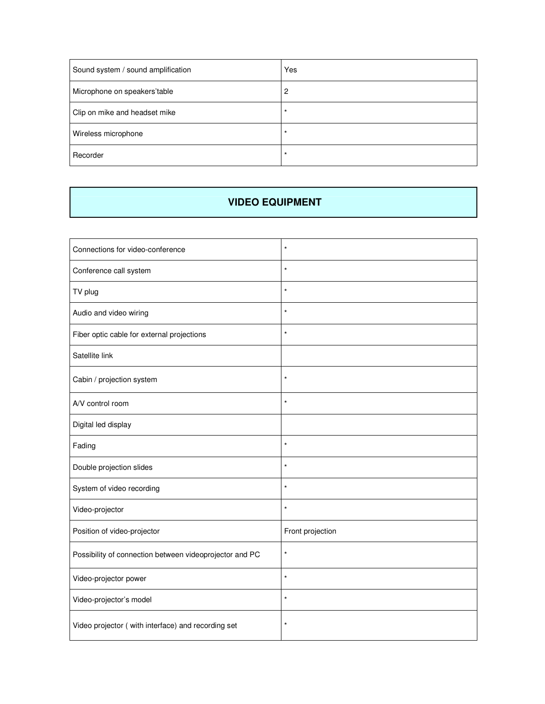| Sound system / sound amplification | Yes      |
|------------------------------------|----------|
| Microphone on speakers'table       | 2        |
| Clip on mike and headset mike      | $^\star$ |
| Wireless microphone                | *        |
| Recorder                           | $\star$  |

#### **VIDEO EQUIPMENT**

| Connections for video-conference                        | $\star$          |
|---------------------------------------------------------|------------------|
| Conference call system                                  | $\star$          |
| TV plug                                                 | $\star$          |
| Audio and video wiring                                  | $\star$          |
| Fiber optic cable for external projections              | $\star$          |
| Satellite link                                          |                  |
| Cabin / projection system                               | $\star$          |
| A/V control room                                        | $\star$          |
| Digital led display                                     |                  |
| Fading                                                  | $\star$          |
| Double projection slides                                | $\star$          |
| System of video recording                               | $\star$          |
| Video-projector                                         | $\star$          |
| Position of video-projector                             | Front projection |
| Possibility of connection between videoprojector and PC | $\star$          |
| Video-projector power                                   | $\star$          |
| Video-projector's model                                 | $\star$          |
| Video projector (with interface) and recording set      | $\star$          |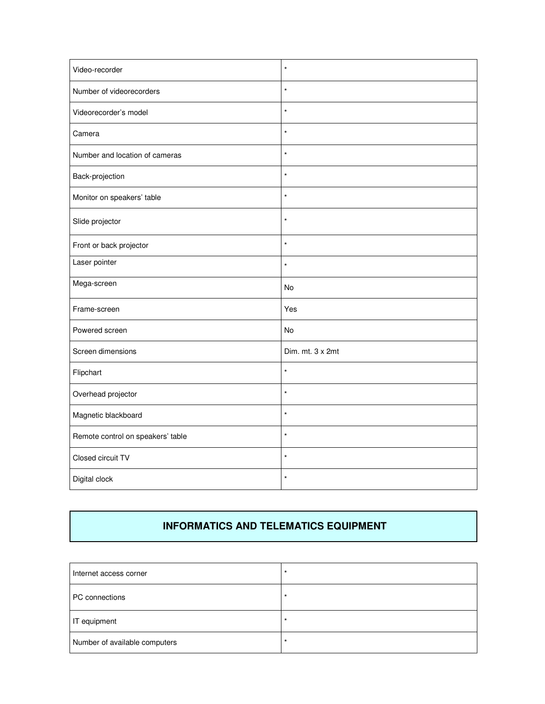| Video-recorder                    | $\star$          |
|-----------------------------------|------------------|
| Number of videorecorders          | $\star$          |
| Videorecorder's model             | $\star$          |
| Camera                            | $\star$          |
| Number and location of cameras    | $\star$          |
| Back-projection                   | $\star$          |
| Monitor on speakers' table        | $\star$          |
| Slide projector                   | $\star$          |
| Front or back projector           | $\star$          |
| Laser pointer                     | $\star$          |
| Mega-screen                       | No               |
| Frame-screen                      | Yes              |
| Powered screen                    | No               |
| Screen dimensions                 | Dim. mt. 3 x 2mt |
| Flipchart                         | $\star$          |
| Overhead projector                | $\star$          |
| Magnetic blackboard               | $\star$          |
| Remote control on speakers' table | $\star$          |
| Closed circuit TV                 | $\star$          |
| Digital clock                     | $\star$          |

#### **INFORMATICS AND TELEMATICS EQUIPMENT**

| Internet access corner        | *  |
|-------------------------------|----|
| PC connections                | *  |
| IT equipment                  | -* |
| Number of available computers | -1 |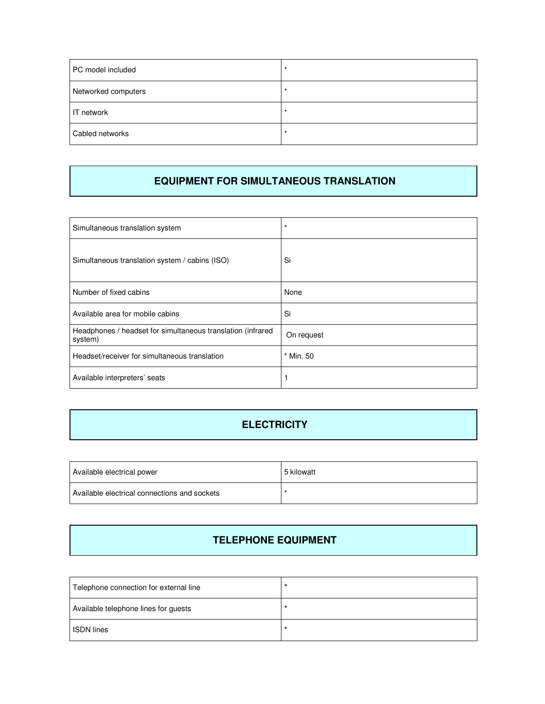| PC model included   | $\star$ |
|---------------------|---------|
| Networked computers | $\star$ |
| IT network          |         |
| Cabled networks     |         |

#### **EQUIPMENT FOR SIMULTANEOUS TRANSLATION**

| Simultaneous translation system                                        | $\star$    |
|------------------------------------------------------------------------|------------|
| Simultaneous translation system / cabins (ISO)                         | Si         |
| Number of fixed cabins                                                 | None       |
| Available area for mobile cabins                                       | Si         |
| Headphones / headset for simultaneous translation (infrared<br>system) | On request |
| Headset/receiver for simultaneous translation                          | * Min. 50  |
| Available interpreters' seats                                          |            |

### **ELECTRICITY**

| Available electrical power                   | 5 kilowatt |
|----------------------------------------------|------------|
| Available electrical connections and sockets |            |

#### **TELEPHONE EQUIPMENT**

| Telephone connection for external line | $\star$ |
|----------------------------------------|---------|
| Available telephone lines for guests   | $\star$ |
| <b>ISDN</b> lines                      | $\star$ |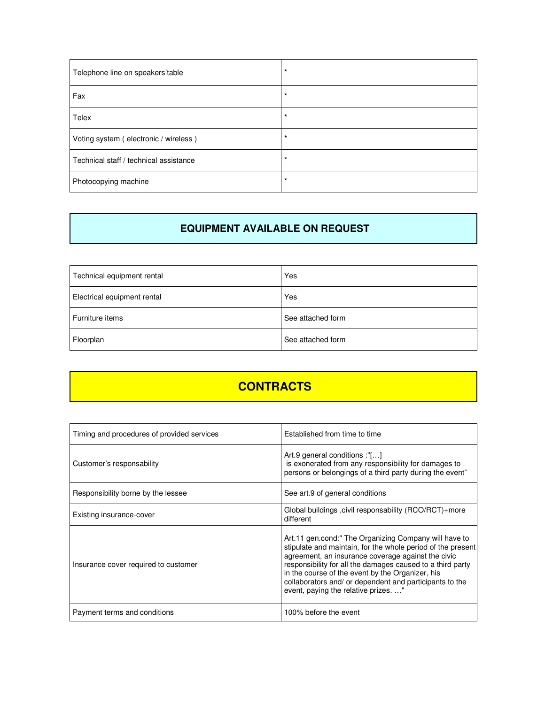| Telephone line on speakers'table       | $\star$ |
|----------------------------------------|---------|
| Fax                                    | $\star$ |
| Telex                                  | $\star$ |
| Voting system (electronic / wireless)  | $\star$ |
| Technical staff / technical assistance | $\star$ |
| Photocopying machine                   | $\star$ |

#### **EQUIPMENT AVAILABLE ON REQUEST**

| Technical equipment rental  | Yes               |
|-----------------------------|-------------------|
| Electrical equipment rental | Yes               |
| Furniture items             | See attached form |
| Floorplan                   | See attached form |

## **CONTRACTS**

| Timing and procedures of provided services | Established from time to time                                                                                                                                                                                                                                                                                                                                                                 |
|--------------------------------------------|-----------------------------------------------------------------------------------------------------------------------------------------------------------------------------------------------------------------------------------------------------------------------------------------------------------------------------------------------------------------------------------------------|
| Customer's responsability                  | Art.9 general conditions :"[]<br>is exonerated from any responsibility for damages to<br>persons or belongings of a third party during the event"                                                                                                                                                                                                                                             |
| Responsibility borne by the lessee         | See art.9 of general conditions                                                                                                                                                                                                                                                                                                                                                               |
| Existing insurance-cover                   | Global buildings , civil responsability (RCO/RCT)+more<br>different                                                                                                                                                                                                                                                                                                                           |
| Insurance cover required to customer       | Art.11 gen.cond:" The Organizing Company will have to<br>stipulate and maintain, for the whole period of the present<br>agreement, an insurance coverage against the civic<br>responsibility for all the damages caused to a third party<br>in the course of the event by the Organizer, his<br>collaborators and/ or dependent and participants to the<br>event, paying the relative prizes" |
| Payment terms and conditions               | 100% before the event                                                                                                                                                                                                                                                                                                                                                                         |